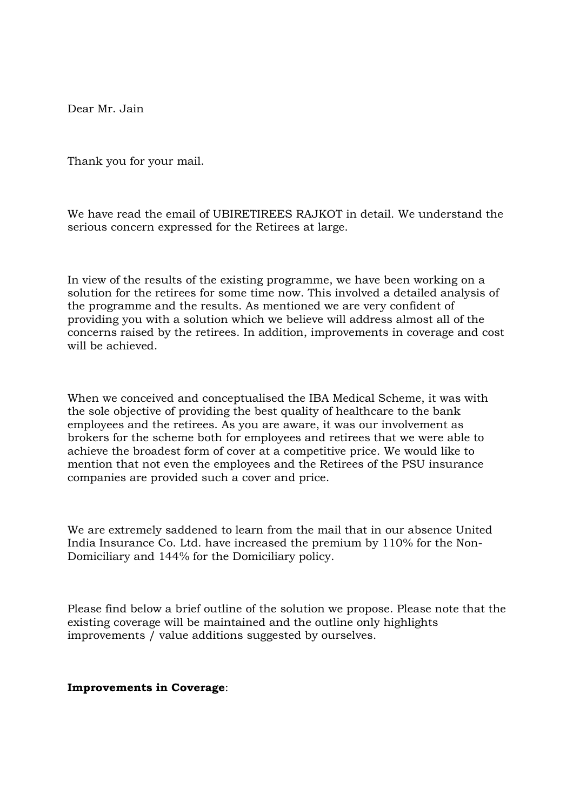Dear Mr. Jain

Thank you for your mail.

We have read the email of UBIRETIREES RAJKOT in detail. We understand the serious concern expressed for the Retirees at large.

In view of the results of the existing programme, we have been working on a solution for the retirees for some time now. This involved a detailed analysis of the programme and the results. As mentioned we are very confident of providing you with a solution which we believe will address almost all of the concerns raised by the retirees. In addition, improvements in coverage and cost will be achieved.

When we conceived and conceptualised the IBA Medical Scheme, it was with the sole objective of providing the best quality of healthcare to the bank employees and the retirees. As you are aware, it was our involvement as brokers for the scheme both for employees and retirees that we were able to achieve the broadest form of cover at a competitive price. We would like to mention that not even the employees and the Retirees of the PSU insurance companies are provided such a cover and price.

We are extremely saddened to learn from the mail that in our absence United India Insurance Co. Ltd. have increased the premium by 110% for the Non-Domiciliary and 144% for the Domiciliary policy.

Please find below a brief outline of the solution we propose. Please note that the existing coverage will be maintained and the outline only highlights improvements / value additions suggested by ourselves.

#### **Improvements in Coverage**: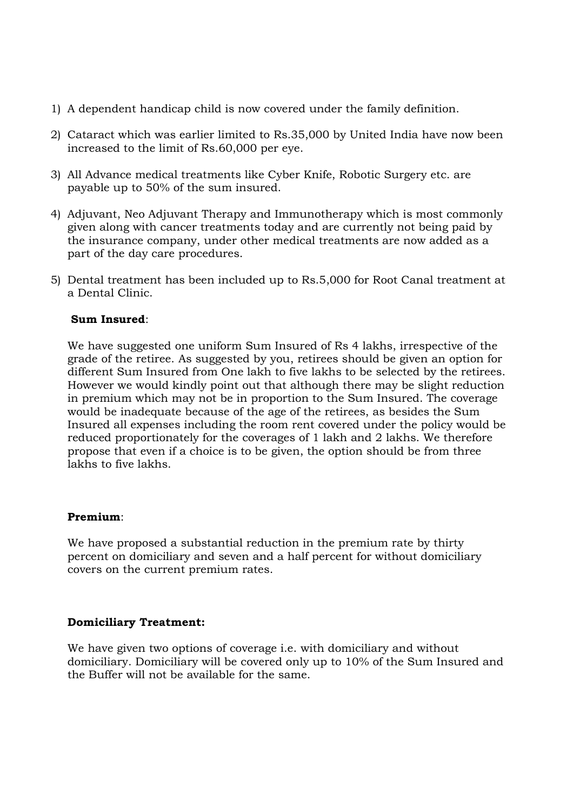- 1) A dependent handicap child is now covered under the family definition.
- 2) Cataract which was earlier limited to Rs.35,000 by United India have now been increased to the limit of Rs.60,000 per eye.
- 3) All Advance medical treatments like Cyber Knife, Robotic Surgery etc. are payable up to 50% of the sum insured.
- 4) Adjuvant, Neo Adjuvant Therapy and Immunotherapy which is most commonly given along with cancer treatments today and are currently not being paid by the insurance company, under other medical treatments are now added as a part of the day care procedures.
- 5) Dental treatment has been included up to Rs.5,000 for Root Canal treatment at a Dental Clinic.

## **Sum Insured**:

We have suggested one uniform Sum Insured of Rs 4 lakhs, irrespective of the grade of the retiree. As suggested by you, retirees should be given an option for different Sum Insured from One lakh to five lakhs to be selected by the retirees. However we would kindly point out that although there may be slight reduction in premium which may not be in proportion to the Sum Insured. The coverage would be inadequate because of the age of the retirees, as besides the Sum Insured all expenses including the room rent covered under the policy would be reduced proportionately for the coverages of 1 lakh and 2 lakhs. We therefore propose that even if a choice is to be given, the option should be from three lakhs to five lakhs.

#### **Premium**:

We have proposed a substantial reduction in the premium rate by thirty percent on domiciliary and seven and a half percent for without domiciliary covers on the current premium rates.

## **Domiciliary Treatment:**

We have given two options of coverage i.e. with domiciliary and without domiciliary. Domiciliary will be covered only up to 10% of the Sum Insured and the Buffer will not be available for the same.